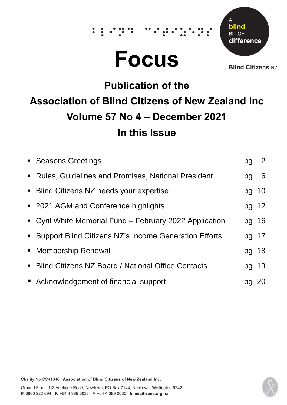# **Focus**

 $\ddot{\bullet}$ 



**Blind Citizens NZ** 

# **Publication of the Association of Blind Citizens of New Zealand Inc Volume 57 No 4 – December 2021 In this Issue**

| • Seasons Greetings                                     |       | 2  |
|---------------------------------------------------------|-------|----|
| • Rules, Guidelines and Promises, National President    | pg    | 6  |
| • Blind Citizens NZ needs your expertise                | pg 10 |    |
| • 2021 AGM and Conference highlights                    | pg 12 |    |
| • Cyril White Memorial Fund – February 2022 Application | pg 16 |    |
| • Support Blind Citizens NZ's Income Generation Efforts | pg 17 |    |
| • Membership Renewal                                    | pg 18 |    |
| • Blind Citizens NZ Board / National Office Contacts    | pg 19 |    |
| Acknowledgement of financial support                    |       | 20 |



Charity No.CC41040 Association of Blind Citizens of New Zealand Inc.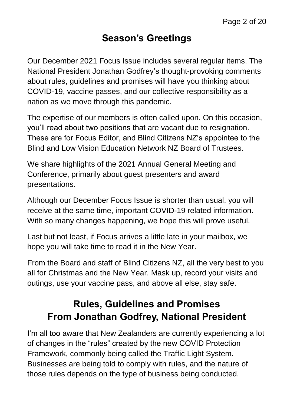#### **Season's Greetings**

Our December 2021 Focus Issue includes several regular items. The National President Jonathan Godfrey's thought-provoking comments about rules, guidelines and promises will have you thinking about COVID-19, vaccine passes, and our collective responsibility as a nation as we move through this pandemic.

The expertise of our members is often called upon. On this occasion, you'll read about two positions that are vacant due to resignation. These are for Focus Editor, and Blind Citizens NZ's appointee to the Blind and Low Vision Education Network NZ Board of Trustees.

We share highlights of the 2021 Annual General Meeting and Conference, primarily about guest presenters and award presentations.

Although our December Focus Issue is shorter than usual, you will receive at the same time, important COVID-19 related information. With so many changes happening, we hope this will prove useful.

Last but not least, if Focus arrives a little late in your mailbox, we hope you will take time to read it in the New Year.

From the Board and staff of Blind Citizens NZ, all the very best to you all for Christmas and the New Year. Mask up, record your visits and outings, use your vaccine pass, and above all else, stay safe.

# **Rules, Guidelines and Promises From Jonathan Godfrey, National President**

I'm all too aware that New Zealanders are currently experiencing a lot of changes in the "rules" created by the new COVID Protection Framework, commonly being called the Traffic Light System. Businesses are being told to comply with rules, and the nature of those rules depends on the type of business being conducted.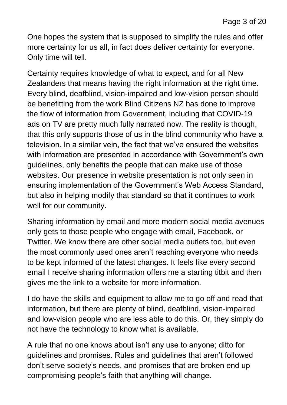One hopes the system that is supposed to simplify the rules and offer more certainty for us all, in fact does deliver certainty for everyone. Only time will tell.

Certainty requires knowledge of what to expect, and for all New Zealanders that means having the right information at the right time. Every blind, deafblind, vision-impaired and low-vision person should be benefitting from the work Blind Citizens NZ has done to improve the flow of information from Government, including that COVID-19 ads on TV are pretty much fully narrated now. The reality is though, that this only supports those of us in the blind community who have a television. In a similar vein, the fact that we've ensured the websites with information are presented in accordance with Government's own guidelines, only benefits the people that can make use of those websites. Our presence in website presentation is not only seen in ensuring implementation of the Government's Web Access Standard, but also in helping modify that standard so that it continues to work well for our community.

Sharing information by email and more modern social media avenues only gets to those people who engage with email, Facebook, or Twitter. We know there are other social media outlets too, but even the most commonly used ones aren't reaching everyone who needs to be kept informed of the latest changes. It feels like every second email I receive sharing information offers me a starting titbit and then gives me the link to a website for more information.

I do have the skills and equipment to allow me to go off and read that information, but there are plenty of blind, deafblind, vision-impaired and low-vision people who are less able to do this. Or, they simply do not have the technology to know what is available.

A rule that no one knows about isn't any use to anyone; ditto for guidelines and promises. Rules and guidelines that aren't followed don't serve society's needs, and promises that are broken end up compromising people's faith that anything will change.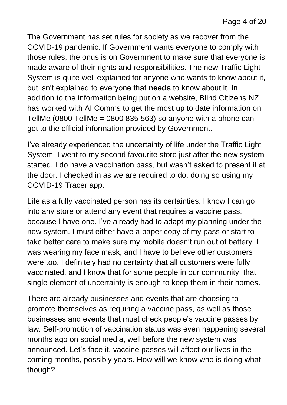The Government has set rules for society as we recover from the COVID-19 pandemic. If Government wants everyone to comply with those rules, the onus is on Government to make sure that everyone is made aware of their rights and responsibilities. The new Traffic Light System is quite well explained for anyone who wants to know about it, but isn't explained to everyone that **needs** to know about it. In addition to the information being put on a website, Blind Citizens NZ has worked with AI Comms to get the most up to date information on TellMe (0800 TellMe = 0800 835 563) so anyone with a phone can get to the official information provided by Government.

I've already experienced the uncertainty of life under the Traffic Light System. I went to my second favourite store just after the new system started. I do have a vaccination pass, but wasn't asked to present it at the door. I checked in as we are required to do, doing so using my COVID-19 Tracer app.

Life as a fully vaccinated person has its certainties. I know I can go into any store or attend any event that requires a vaccine pass, because I have one. I've already had to adapt my planning under the new system. I must either have a paper copy of my pass or start to take better care to make sure my mobile doesn't run out of battery. I was wearing my face mask, and I have to believe other customers were too. I definitely had no certainty that all customers were fully vaccinated, and I know that for some people in our community, that single element of uncertainty is enough to keep them in their homes.

There are already businesses and events that are choosing to promote themselves as requiring a vaccine pass, as well as those businesses and events that must check people's vaccine passes by law. Self-promotion of vaccination status was even happening several months ago on social media, well before the new system was announced. Let's face it, vaccine passes will affect our lives in the coming months, possibly years. How will we know who is doing what though?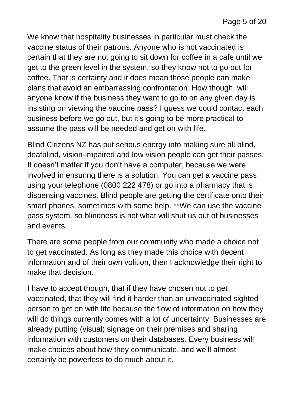We know that hospitality businesses in particular must check the vaccine status of their patrons. Anyone who is not vaccinated is certain that they are not going to sit down for coffee in a cafe until we get to the green level in the system, so they know not to go out for coffee. That is certainty and it does mean those people can make plans that avoid an embarrassing confrontation. How though, will anyone know if the business they want to go to on any given day is insisting on viewing the vaccine pass? I guess we could contact each business before we go out, but it's going to be more practical to assume the pass will be needed and get on with life.

Blind Citizens NZ has put serious energy into making sure all blind, deafblind, vision-impaired and low vision people can get their passes. It doesn't matter if you don't have a computer, because we were involved in ensuring there is a solution. You can get a vaccine pass using your telephone (0800 222 478) or go into a pharmacy that is dispensing vaccines. Blind people are getting the certificate onto their smart phones, sometimes with some help. \*\*We can use the vaccine pass system, so blindness is not what will shut us out of businesses and events.

There are some people from our community who made a choice not to get vaccinated. As long as they made this choice with decent information and of their own volition, then I acknowledge their right to make that decision.

I have to accept though, that if they have chosen not to get vaccinated, that they will find it harder than an unvaccinated sighted person to get on with life because the flow of information on how they will do things currently comes with a lot of uncertainty. Businesses are already putting (visual) signage on their premises and sharing information with customers on their databases. Every business will make choices about how they communicate, and we'll almost certainly be powerless to do much about it.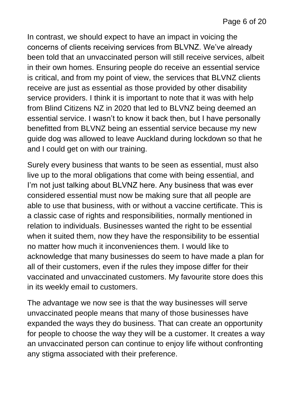In contrast, we should expect to have an impact in voicing the concerns of clients receiving services from BLVNZ. We've already been told that an unvaccinated person will still receive services, albeit in their own homes. Ensuring people do receive an essential service is critical, and from my point of view, the services that BLVNZ clients receive are just as essential as those provided by other disability service providers. I think it is important to note that it was with help from Blind Citizens NZ in 2020 that led to BLVNZ being deemed an essential service. I wasn't to know it back then, but I have personally benefitted from BLVNZ being an essential service because my new guide dog was allowed to leave Auckland during lockdown so that he and I could get on with our training.

Surely every business that wants to be seen as essential, must also live up to the moral obligations that come with being essential, and I'm not just talking about BLVNZ here. Any business that was ever considered essential must now be making sure that all people are able to use that business, with or without a vaccine certificate. This is a classic case of rights and responsibilities, normally mentioned in relation to individuals. Businesses wanted the right to be essential when it suited them, now they have the responsibility to be essential no matter how much it inconveniences them. I would like to acknowledge that many businesses do seem to have made a plan for all of their customers, even if the rules they impose differ for their vaccinated and unvaccinated customers. My favourite store does this in its weekly email to customers.

The advantage we now see is that the way businesses will serve unvaccinated people means that many of those businesses have expanded the ways they do business. That can create an opportunity for people to choose the way they will be a customer. It creates a way an unvaccinated person can continue to enjoy life without confronting any stigma associated with their preference.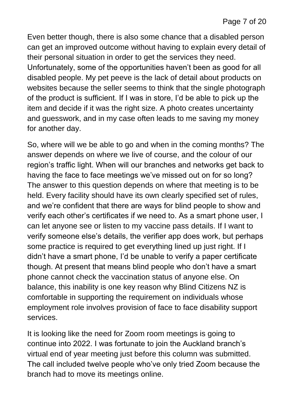Even better though, there is also some chance that a disabled person can get an improved outcome without having to explain every detail of their personal situation in order to get the services they need. Unfortunately, some of the opportunities haven't been as good for all disabled people. My pet peeve is the lack of detail about products on websites because the seller seems to think that the single photograph of the product is sufficient. If I was in store, I'd be able to pick up the item and decide if it was the right size. A photo creates uncertainty and guesswork, and in my case often leads to me saving my money for another day.

So, where will we be able to go and when in the coming months? The answer depends on where we live of course, and the colour of our region's traffic light. When will our branches and networks get back to having the face to face meetings we've missed out on for so long? The answer to this question depends on where that meeting is to be held. Every facility should have its own clearly specified set of rules, and we're confident that there are ways for blind people to show and verify each other's certificates if we need to. As a smart phone user, I can let anyone see or listen to my vaccine pass details. If I want to verify someone else's details, the verifier app does work, but perhaps some practice is required to get everything lined up just right. If I didn't have a smart phone, I'd be unable to verify a paper certificate though. At present that means blind people who don't have a smart phone cannot check the vaccination status of anyone else. On balance, this inability is one key reason why Blind Citizens NZ is comfortable in supporting the requirement on individuals whose employment role involves provision of face to face disability support services.

It is looking like the need for Zoom room meetings is going to continue into 2022. I was fortunate to join the Auckland branch's virtual end of year meeting just before this column was submitted. The call included twelve people who've only tried Zoom because the branch had to move its meetings online.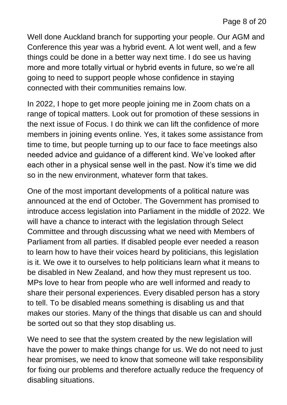Well done Auckland branch for supporting your people. Our AGM and Conference this year was a hybrid event. A lot went well, and a few things could be done in a better way next time. I do see us having more and more totally virtual or hybrid events in future, so we're all going to need to support people whose confidence in staying connected with their communities remains low.

In 2022, I hope to get more people joining me in Zoom chats on a range of topical matters. Look out for promotion of these sessions in the next issue of Focus. I do think we can lift the confidence of more members in joining events online. Yes, it takes some assistance from time to time, but people turning up to our face to face meetings also needed advice and guidance of a different kind. We've looked after each other in a physical sense well in the past. Now it's time we did so in the new environment, whatever form that takes.

One of the most important developments of a political nature was announced at the end of October. The Government has promised to introduce access legislation into Parliament in the middle of 2022. We will have a chance to interact with the legislation through Select Committee and through discussing what we need with Members of Parliament from all parties. If disabled people ever needed a reason to learn how to have their voices heard by politicians, this legislation is it. We owe it to ourselves to help politicians learn what it means to be disabled in New Zealand, and how they must represent us too. MPs love to hear from people who are well informed and ready to share their personal experiences. Every disabled person has a story to tell. To be disabled means something is disabling us and that makes our stories. Many of the things that disable us can and should be sorted out so that they stop disabling us.

We need to see that the system created by the new legislation will have the power to make things change for us. We do not need to just hear promises, we need to know that someone will take responsibility for fixing our problems and therefore actually reduce the frequency of disabling situations.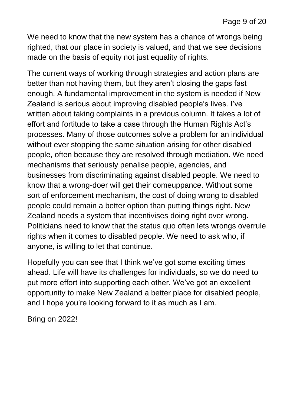We need to know that the new system has a chance of wrongs being righted, that our place in society is valued, and that we see decisions made on the basis of equity not just equality of rights.

The current ways of working through strategies and action plans are better than not having them, but they aren't closing the gaps fast enough. A fundamental improvement in the system is needed if New Zealand is serious about improving disabled people's lives. I've written about taking complaints in a previous column. It takes a lot of effort and fortitude to take a case through the Human Rights Act's processes. Many of those outcomes solve a problem for an individual without ever stopping the same situation arising for other disabled people, often because they are resolved through mediation. We need mechanisms that seriously penalise people, agencies, and businesses from discriminating against disabled people. We need to know that a wrong-doer will get their comeuppance. Without some sort of enforcement mechanism, the cost of doing wrong to disabled people could remain a better option than putting things right. New Zealand needs a system that incentivises doing right over wrong. Politicians need to know that the status quo often lets wrongs overrule rights when it comes to disabled people. We need to ask who, if anyone, is willing to let that continue.

Hopefully you can see that I think we've got some exciting times ahead. Life will have its challenges for individuals, so we do need to put more effort into supporting each other. We've got an excellent opportunity to make New Zealand a better place for disabled people, and I hope you're looking forward to it as much as I am.

Bring on 2022!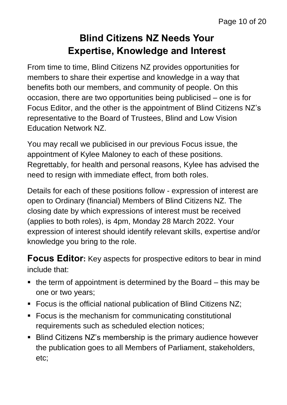# **Blind Citizens NZ Needs Your Expertise, Knowledge and Interest**

From time to time, Blind Citizens NZ provides opportunities for members to share their expertise and knowledge in a way that benefits both our members, and community of people. On this occasion, there are two opportunities being publicised – one is for Focus Editor, and the other is the appointment of Blind Citizens NZ's representative to the Board of Trustees, Blind and Low Vision Education Network NZ.

You may recall we publicised in our previous Focus issue, the appointment of Kylee Maloney to each of these positions. Regrettably, for health and personal reasons, Kylee has advised the need to resign with immediate effect, from both roles.

Details for each of these positions follow - expression of interest are open to Ordinary (financial) Members of Blind Citizens NZ. The closing date by which expressions of interest must be received (applies to both roles), is 4pm, Monday 28 March 2022. Your expression of interest should identify relevant skills, expertise and/or knowledge you bring to the role.

**Focus Editor:** Key aspects for prospective editors to bear in mind include that:

- $\blacksquare$  the term of appointment is determined by the Board  $-$  this may be one or two years;
- Focus is the official national publication of Blind Citizens NZ;
- Focus is the mechanism for communicating constitutional requirements such as scheduled election notices;
- Blind Citizens NZ's membership is the primary audience however the publication goes to all Members of Parliament, stakeholders, etc;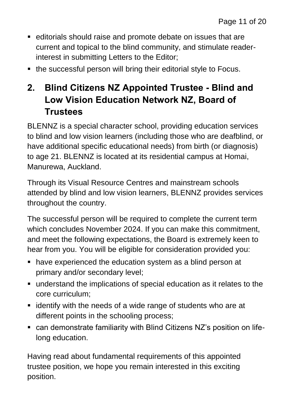- editorials should raise and promote debate on issues that are current and topical to the blind community, and stimulate readerinterest in submitting Letters to the Editor;
- the successful person will bring their editorial style to Focus.

## **2. Blind Citizens NZ Appointed Trustee - Blind and Low Vision Education Network NZ, Board of Trustees**

BLENNZ is a special character school, providing education services to blind and low vision learners (including those who are deafblind, or have additional specific educational needs) from birth (or diagnosis) to age 21. BLENNZ is located at its residential campus at Homai, Manurewa, Auckland.

Through its Visual Resource Centres and mainstream schools attended by blind and low vision learners, BLENNZ provides services throughout the country.

The successful person will be required to complete the current term which concludes November 2024. If you can make this commitment, and meet the following expectations, the Board is extremely keen to hear from you. You will be eligible for consideration provided you:

- have experienced the education system as a blind person at primary and/or secondary level;
- understand the implications of special education as it relates to the core curriculum;
- identify with the needs of a wide range of students who are at different points in the schooling process;
- can demonstrate familiarity with Blind Citizens NZ's position on lifelong education.

Having read about fundamental requirements of this appointed trustee position, we hope you remain interested in this exciting position.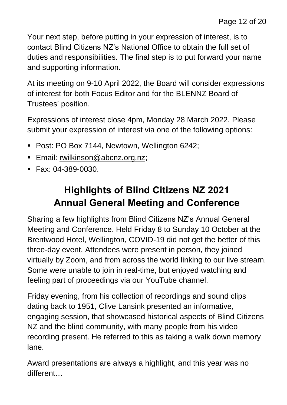Your next step, before putting in your expression of interest, is to contact Blind Citizens NZ's National Office to obtain the full set of duties and responsibilities. The final step is to put forward your name and supporting information.

At its meeting on 9-10 April 2022, the Board will consider expressions of interest for both Focus Editor and for the BLENNZ Board of Trustees' position.

Expressions of interest close 4pm, Monday 28 March 2022. Please submit your expression of interest via one of the following options:

- Post: PO Box 7144, Newtown, Wellington 6242;
- **Email:** [rwilkinson@abcnz.org.nz;](mailto:rwilkinson@abcnz.org.nz)
- $\blacksquare$  Fax: 04-389-0030.

# **Highlights of Blind Citizens NZ 2021 Annual General Meeting and Conference**

Sharing a few highlights from Blind Citizens NZ's Annual General Meeting and Conference. Held Friday 8 to Sunday 10 October at the Brentwood Hotel, Wellington, COVID-19 did not get the better of this three-day event. Attendees were present in person, they joined virtually by Zoom, and from across the world linking to our live stream. Some were unable to join in real-time, but enjoyed watching and feeling part of proceedings via our YouTube channel.

Friday evening, from his collection of recordings and sound clips dating back to 1951, Clive Lansink presented an informative, engaging session, that showcased historical aspects of Blind Citizens NZ and the blind community, with many people from his video recording present. He referred to this as taking a walk down memory lane.

Award presentations are always a highlight, and this year was no different…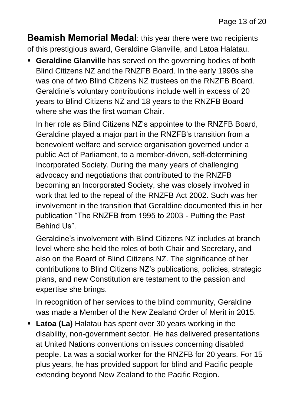**Beamish Memorial Medal**: this year there were two recipients of this prestigious award, Geraldine Glanville, and Latoa Halatau.

**Example 3 Geraldine Glanville** has served on the governing bodies of both Blind Citizens NZ and the RNZFB Board. In the early 1990s she was one of two Blind Citizens NZ trustees on the RNZFB Board. Geraldine's voluntary contributions include well in excess of 20 years to Blind Citizens NZ and 18 years to the RNZFB Board where she was the first woman Chair.

In her role as Blind Citizens NZ's appointee to the RNZFB Board, Geraldine played a major part in the RNZFB's transition from a benevolent welfare and service organisation governed under a public Act of Parliament, to a member-driven, self-determining Incorporated Society. During the many years of challenging advocacy and negotiations that contributed to the RNZFB becoming an Incorporated Society, she was closely involved in work that led to the repeal of the RNZFB Act 2002. Such was her involvement in the transition that Geraldine documented this in her publication "The RNZFB from 1995 to 2003 - Putting the Past Behind Us".

Geraldine's involvement with Blind Citizens NZ includes at branch level where she held the roles of both Chair and Secretary, and also on the Board of Blind Citizens NZ. The significance of her contributions to Blind Citizens NZ's publications, policies, strategic plans, and new Constitution are testament to the passion and expertise she brings.

In recognition of her services to the blind community, Geraldine was made a Member of the New Zealand Order of Merit in 2015.

**• Latoa (La)** Halatau has spent over 30 years working in the disability, non-government sector. He has delivered presentations at United Nations conventions on issues concerning disabled people. La was a social worker for the RNZFB for 20 years. For 15 plus years, he has provided support for blind and Pacific people extending beyond New Zealand to the Pacific Region.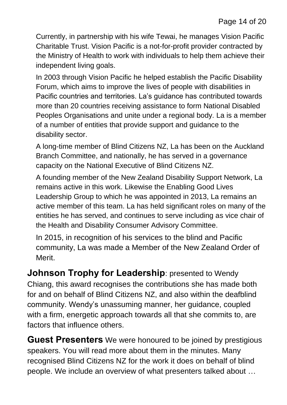Currently, in partnership with his wife Tewai, he manages Vision Pacific Charitable Trust. Vision Pacific is a not-for-profit provider contracted by the Ministry of Health to work with individuals to help them achieve their independent living goals.

In 2003 through Vision Pacific he helped establish the Pacific Disability Forum, which aims to improve the lives of people with disabilities in Pacific countries and territories. La's guidance has contributed towards more than 20 countries receiving assistance to form National Disabled Peoples Organisations and unite under a regional body. La is a member of a number of entities that provide support and guidance to the disability sector.

A long-time member of Blind Citizens NZ, La has been on the Auckland Branch Committee, and nationally, he has served in a governance capacity on the National Executive of Blind Citizens NZ.

A founding member of the New Zealand Disability Support Network, La remains active in this work. Likewise the Enabling Good Lives Leadership Group to which he was appointed in 2013, La remains an active member of this team. La has held significant roles on many of the entities he has served, and continues to serve including as vice chair of the Health and Disability Consumer Advisory Committee.

In 2015, in recognition of his services to the blind and Pacific community, La was made a Member of the New Zealand Order of Merit.

**Johnson Trophy for Leadership: presented to Wendy** Chiang, this award recognises the contributions she has made both for and on behalf of Blind Citizens NZ, and also within the deafblind community. Wendy's unassuming manner, her guidance, coupled with a firm, energetic approach towards all that she commits to, are factors that influence others.

**Guest Presenters** We were honoured to be joined by prestigious speakers. You will read more about them in the minutes. Many recognised Blind Citizens NZ for the work it does on behalf of blind people. We include an overview of what presenters talked about …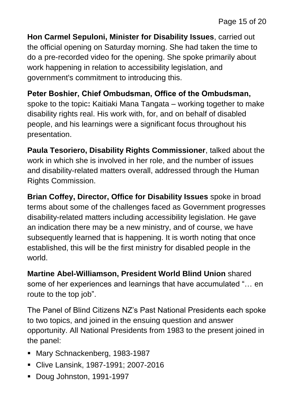**Hon Carmel Sepuloni, Minister for Disability Issues**, carried out the official opening on Saturday morning. She had taken the time to do a pre-recorded video for the opening. She spoke primarily about work happening in relation to accessibility legislation, and government's commitment to introducing this.

**Peter Boshier, Chief Ombudsman, Office of the Ombudsman,**  spoke to the topic**:** Kaitiaki Mana Tangata – working together to make disability rights real. His work with, for, and on behalf of disabled people, and his learnings were a significant focus throughout his presentation.

**Paula Tesoriero, Disability Rights Commissioner**, talked about the work in which she is involved in her role, and the number of issues and disability-related matters overall, addressed through the Human Rights Commission.

**Brian Coffey, Director, Office for Disability Issues** spoke in broad terms about some of the challenges faced as Government progresses disability-related matters including accessibility legislation. He gave an indication there may be a new ministry, and of course, we have subsequently learned that is happening. It is worth noting that once established, this will be the first ministry for disabled people in the world.

**Martine Abel-Williamson, President World Blind Union** shared some of her experiences and learnings that have accumulated "… en route to the top job".

The Panel of Blind Citizens NZ's Past National Presidents each spoke to two topics, and joined in the ensuing question and answer opportunity. All National Presidents from 1983 to the present joined in the panel:

- Mary Schnackenberg, 1983-1987
- Clive Lansink, 1987-1991; 2007-2016
- Doug Johnston, 1991-1997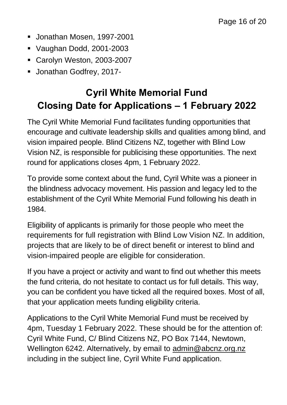- Jonathan Mosen, 1997-2001
- Vaughan Dodd, 2001-2003
- Carolyn Weston, 2003-2007
- Jonathan Godfrey, 2017-

# **Cyril White Memorial Fund Closing Date for Applications – 1 February 2022**

The Cyril White Memorial Fund facilitates funding opportunities that encourage and cultivate leadership skills and qualities among blind, and vision impaired people. Blind Citizens NZ, together with Blind Low Vision NZ, is responsible for publicising these opportunities. The next round for applications closes 4pm, 1 February 2022.

To provide some context about the fund, Cyril White was a pioneer in the blindness advocacy movement. His passion and legacy led to the establishment of the Cyril White Memorial Fund following his death in 1984.

Eligibility of applicants is primarily for those people who meet the requirements for full registration with Blind Low Vision NZ. In addition, projects that are likely to be of direct benefit or interest to blind and vision-impaired people are eligible for consideration.

If you have a project or activity and want to find out whether this meets the fund criteria, do not hesitate to contact us for full details. This way, you can be confident you have ticked all the required boxes. Most of all, that your application meets funding eligibility criteria.

Applications to the Cyril White Memorial Fund must be received by 4pm, Tuesday 1 February 2022. These should be for the attention of: Cyril White Fund, C/ Blind Citizens NZ, PO Box 7144, Newtown, Wellington 6242. Alternatively, by email to [admin@abcnz.org.nz](mailto:admin@abcnz.org.nz) including in the subject line, Cyril White Fund application.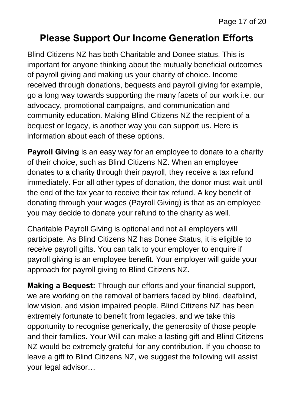#### **Please Support Our Income Generation Efforts**

Blind Citizens NZ has both Charitable and Donee status. This is important for anyone thinking about the mutually beneficial outcomes of payroll giving and making us your charity of choice. Income received through donations, bequests and payroll giving for example, go a long way towards supporting the many facets of our work i.e. our advocacy, promotional campaigns, and communication and community education. Making Blind Citizens NZ the recipient of a bequest or legacy, is another way you can support us. Here is information about each of these options.

**Payroll Giving** is an easy way for an employee to donate to a charity of their choice, such as Blind Citizens NZ. When an employee donates to a charity through their payroll, they receive a tax refund immediately. For all other types of donation, the donor must wait until the end of the tax year to receive their tax refund. A key benefit of donating through your wages (Payroll Giving) is that as an employee you may decide to donate your refund to the charity as well.

Charitable Payroll Giving is optional and not all employers will participate. As Blind Citizens NZ has Donee Status, it is eligible to receive payroll gifts. You can talk to your employer to enquire if payroll giving is an employee benefit. Your employer will guide your approach for payroll giving to Blind Citizens NZ.

**Making a Bequest:** Through our efforts and your financial support, we are working on the removal of barriers faced by blind, deafblind, low vision, and vision impaired people. Blind Citizens NZ has been extremely fortunate to benefit from legacies, and we take this opportunity to recognise generically, the generosity of those people and their families. Your Will can make a lasting gift and Blind Citizens NZ would be extremely grateful for any contribution. If you choose to leave a gift to Blind Citizens NZ, we suggest the following will assist your legal advisor…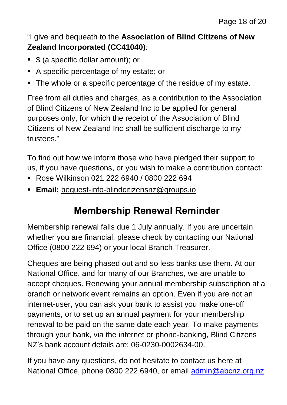#### "I give and bequeath to the **Association of Blind Citizens of New Zealand Incorporated (CC41040)**:

- \$ (a specific dollar amount); or
- A specific percentage of my estate; or
- The whole or a specific percentage of the residue of my estate.

Free from all duties and charges, as a contribution to the Association of Blind Citizens of New Zealand Inc to be applied for general purposes only, for which the receipt of the Association of Blind Citizens of New Zealand Inc shall be sufficient discharge to my trustees."

To find out how we inform those who have pledged their support to us, if you have questions, or you wish to make a contribution contact:

- Rose Wilkinson 021 222 6940 / 0800 222 694
- **Email:** [bequest-info-blindcitizensnz@groups.io](mailto:bequest-info-blindcitizensnz@groups.io)

# **Membership Renewal Reminder**

Membership renewal falls due 1 July annually. If you are uncertain whether you are financial, please check by contacting our National Office (0800 222 694) or your local Branch Treasurer.

Cheques are being phased out and so less banks use them. At our National Office, and for many of our Branches, we are unable to accept cheques. Renewing your annual membership subscription at a branch or network event remains an option. Even if you are not an internet-user, you can ask your bank to assist you make one-off payments, or to set up an annual payment for your membership renewal to be paid on the same date each year. To make payments through your bank, via the internet or phone-banking, Blind Citizens NZ's bank account details are: 06-0230-0002634-00.

If you have any questions, do not hesitate to contact us here at National Office, phone 0800 222 6940, or email [admin@abcnz.org.nz](mailto:admin@abcnz.org.nz)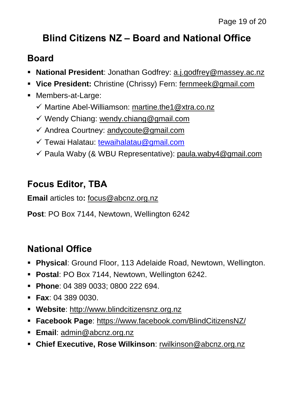# **Blind Citizens NZ – Board and National Office**

#### **Board**

- **National President**: Jonathan Godfrey: [a.j.godfrey@massey.ac.nz](mailto:a.j.godfrey@massey.ac.nz)
- **Vice President:** Christine (Chrissy) Fern: [fernmeek@gmail.com](mailto:fernmeek@gmail.com)
- Members-at-Large:
	- ✓ Martine Abel-Williamson: [martine.the1@xtra.co.nz](mailto:martine.the1@xtra.co.nz)
	- ✓ Wendy Chiang: [wendy.chiang@gmail.com](mailto:wendy.chiang@gmail.com)
	- $\checkmark$  Andrea Courtney: [andycoute@gmail.com](mailto:andycoute@gmail.com)
	- ✓ Tewai Halatau: [tewaihalatau@gmail.com](mailto:tewaihalatau@gmail.com)
	- ✓ Paula Waby (& WBU Representative): [paula.waby4@gmail.com](mailto:paula.waby4@gmail.com)

## **Focus Editor, TBA**

**Email** articles to**:** [focus@abcnz.org.nz](mailto:focus@abcnz.org.nz)

**Post**: PO Box 7144, Newtown, Wellington 6242

#### **National Office**

- **Physical**: Ground Floor, 113 Adelaide Road, Newtown, Wellington.
- **Postal**: PO Box 7144, Newtown, Wellington 6242.
- **Phone**: 04 389 0033; 0800 222 694.
- **Fax**: 04 389 0030.
- **Website**: [http://www.blindcitizensnz.org.nz](http://www.blindcitizensnz.org.nz/)
- **Facebook Page**:<https://www.facebook.com/BlindCitizensNZ/>
- **Email**: [admin@abcnz.org.nz](mailto:admin@abcnz.org.nz)
- **Chief Executive, Rose Wilkinson**: [rwilkinson@abcnz.org.nz](mailto:rwilkinson@abcnz.org.nz)